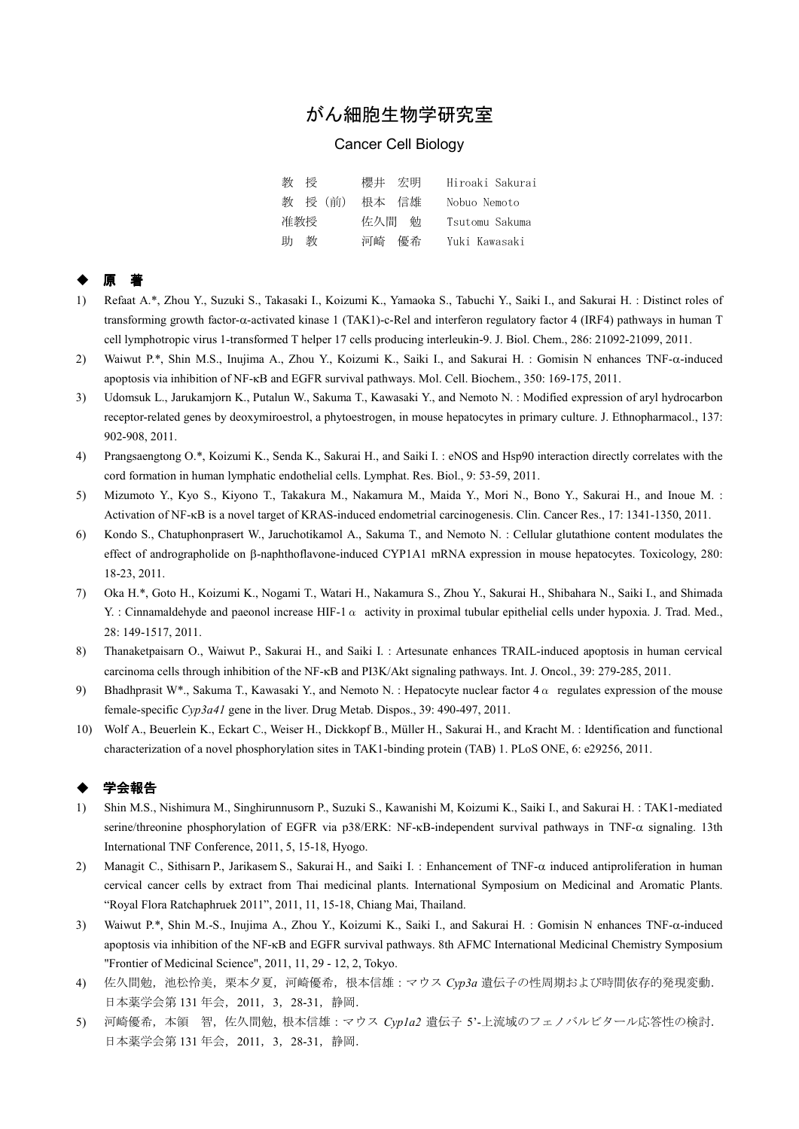# がん細胞生物学研究室

### Cancer Cell Biology

| 教授     | 櫻井 宏明 | Hiroaki Sakurai |
|--------|-------|-----------------|
| 教授(前)  | 根本 信雄 | Nobuo Nemoto    |
| 准教授    | 佐久間 勉 | Tsutomu Sakuma  |
| 教<br>助 | 河崎 優希 | Yuki Kawasaki   |

#### ◆ 原 著

- 1) Refaat A.\*, Zhou Y., Suzuki S., Takasaki I., Koizumi K., Yamaoka S., Tabuchi Y., Saiki I., and Sakurai H. : Distinct roles of transforming growth factor-α-activated kinase 1 (TAK1)-c-Rel and interferon regulatory factor 4 (IRF4) pathways in human T cell lymphotropic virus 1-transformed T helper 17 cells producing interleukin-9. J. Biol. Chem., 286: 21092-21099, 2011.
- 2) Waiwut P.\*, Shin M.S., Inujima A., Zhou Y., Koizumi K., Saiki I., and Sakurai H. : Gomisin N enhances TNF-α-induced apoptosis via inhibition of NF-κB and EGFR survival pathways. Mol. Cell. Biochem., 350: 169-175, 2011.
- 3) Udomsuk L., Jarukamjorn K., Putalun W., Sakuma T., Kawasaki Y., and Nemoto N. : Modified expression of aryl hydrocarbon receptor-related genes by deoxymiroestrol, a phytoestrogen, in mouse hepatocytes in primary culture. J. Ethnopharmacol., 137: 902-908, 2011.
- 4) Prangsaengtong O.\*, Koizumi K., Senda K., Sakurai H., and Saiki I. : eNOS and Hsp90 interaction directly correlates with the cord formation in human lymphatic endothelial cells. Lymphat. Res. Biol., 9: 53-59, 2011.
- 5) Mizumoto Y., Kyo S., Kiyono T., Takakura M., Nakamura M., Maida Y., Mori N., Bono Y., Sakurai H., and Inoue M. : Activation of NF-κB is a novel target of KRAS-induced endometrial carcinogenesis. Clin. Cancer Res., 17: 1341-1350, 2011.
- 6) Kondo S., Chatuphonprasert W., Jaruchotikamol A., Sakuma T., and Nemoto N. : Cellular glutathione content modulates the effect of andrographolide on β-naphthoflavone-induced CYP1A1 mRNA expression in mouse hepatocytes. Toxicology, 280: 18-23, 2011.
- 7) Oka H.\*, Goto H., Koizumi K., Nogami T., Watari H., Nakamura S., Zhou Y., Sakurai H., Shibahara N., Saiki I., and Shimada Y. : Cinnamaldehyde and paeonol increase HIF-1  $\alpha$  activity in proximal tubular epithelial cells under hypoxia. J. Trad. Med., 28: 149-1517, 2011.
- 8) Thanaketpaisarn O., Waiwut P., Sakurai H., and Saiki I. : Artesunate enhances TRAIL-induced apoptosis in human cervical carcinoma cells through inhibition of the NF-κB and PI3K/Akt signaling pathways. Int. J. Oncol., 39: 279-285, 2011.
- 9) Bhadhprasit W\*., Sakuma T., Kawasaki Y., and Nemoto N. : Hepatocyte nuclear factor  $4\alpha$  regulates expression of the mouse female-specific *Cyp3a41* gene in the liver. Drug Metab. Dispos., 39: 490-497, 2011.
- 10) Wolf A., Beuerlein K., Eckart C., Weiser H., Dickkopf B., Müller H., Sakurai H., and Kracht M. : Identification and functional characterization of a novel phosphorylation sites in TAK1-binding protein (TAB) 1. PLoS ONE, 6: e29256, 2011.

#### 学会報告

- 1) Shin M.S., Nishimura M., Singhirunnusorn P., Suzuki S., Kawanishi M, Koizumi K., Saiki I., and Sakurai H. : TAK1-mediated serine/threonine phosphorylation of EGFR via p38/ERK: NF-κB-independent survival pathways in TNF-α signaling. 13th International TNF Conference, 2011, 5, 15-18, Hyogo.
- 2) Managit C., Sithisarn P., Jarikasem S., Sakurai H., and Saiki I. : Enhancement of TNF-α induced antiproliferation in human cervical cancer cells by extract from Thai medicinal plants. International Symposium on Medicinal and Aromatic Plants. "Royal Flora Ratchaphruek 2011", 2011, 11, 15-18, Chiang Mai, Thailand.
- 3) Waiwut P.\*, Shin M.-S., Inujima A., Zhou Y., Koizumi K., Saiki I., and Sakurai H. : Gomisin N enhances TNF-α-induced apoptosis via inhibition of the NF-κB and EGFR survival pathways. 8th AFMC International Medicinal Chemistry Symposium "Frontier of Medicinal Science", 2011, 11, 29 - 12, 2, Tokyo.
- 4) 佐久間勉,池松怜美,栗本夕夏,河崎優希,根本信雄:マウス *Cyp3a* 遺伝子の性周期および時間依存的発現変動. 日本薬学会第 131 年会,2011,3,28-31,静岡.
- 5) 河崎優希,本領 智,佐久間勉, 根本信雄:マウス *Cyp1a2* 遺伝子 5'-上流域のフェノバルビタール応答性の検討. 日本薬学会第 131 年会,2011,3,28-31,静岡.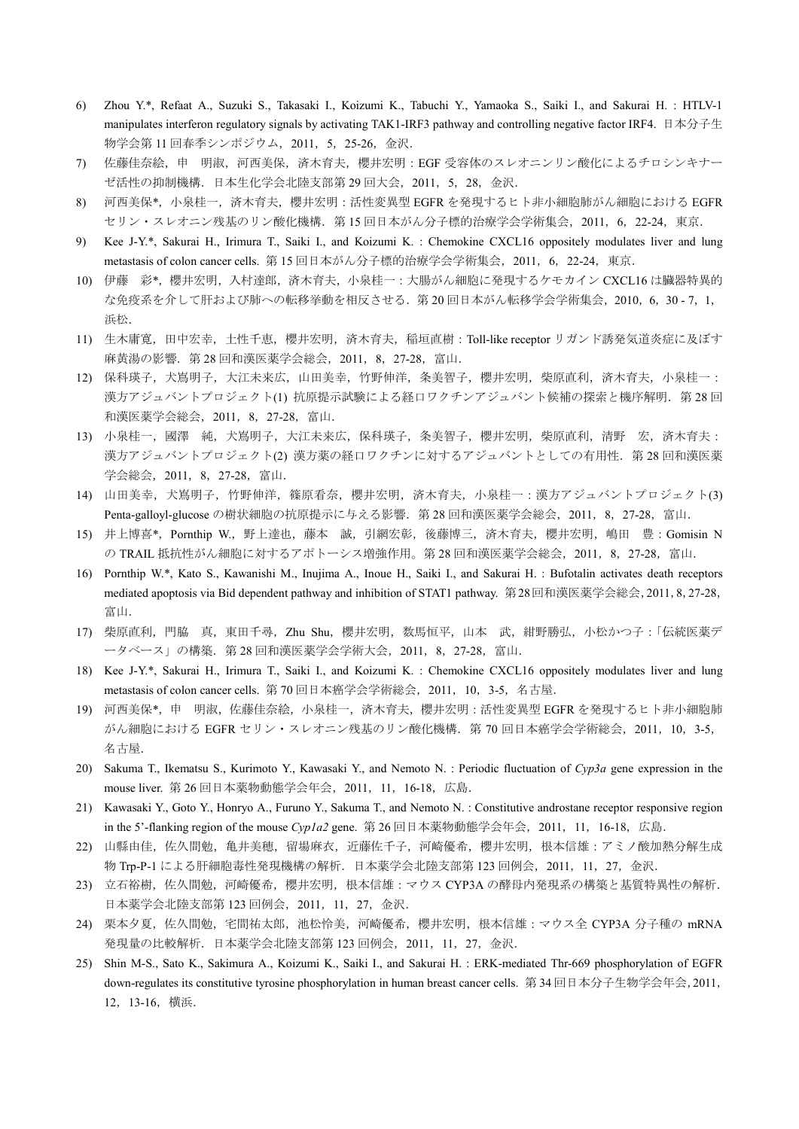- 6) Zhou Y.\*, Refaat A., Suzuki S., Takasaki I., Koizumi K., Tabuchi Y., Yamaoka S., Saiki I., and Sakurai H. : HTLV-1 manipulates interferon regulatory signals by activating TAK1-IRF3 pathway and controlling negative factor IRF4. 日本分子生 物学会第 11 回春季シンポジウム,2011,5,25-26,金沢.
- 7) 佐藤佳奈絵,申 明淑,河西美保,済木育夫,櫻井宏明:EGF 受容体のスレオニンリン酸化によるチロシンキナー ゼ活性の抑制機構.日本生化学会北陸支部第 29 回大会,2011,5,28,金沢.
- 8) 河西美保\*,小泉桂一,済木育夫,櫻井宏明:活性変異型 EGFR を発現するヒト非小細胞肺がん細胞における EGFR セリン・スレオニン残基のリン酸化機構.第 15 回日本がん分子標的治療学会学術集会,2011,6,22-24,東京.
- 9) Kee J-Y.\*, Sakurai H., Irimura T., Saiki I., and Koizumi K. : Chemokine CXCL16 oppositely modulates liver and lung metastasis of colon cancer cells. 第 15 回日本がん分子標的治療学会学術集会, 2011, 6, 22-24, 東京.
- 10) 伊藤 彩\*, 櫻井宏明, 入村達郎, 済木育夫, 小泉桂一: 大腸がん細胞に発現するケモカイン CXCL16 は臓器特異的 な免疫系を介して肝および肺への転移挙動を相反させる.第 20 回日本がん転移学会学術集会,2010,6,30 - 7,1, 浜松.
- 11) 生木庸寛, 田中宏幸, 土性千恵, 櫻井宏明, 済木育夫, 稲垣直樹: Toll-like receptor リガンド誘発気道炎症に及ぼす 麻黄湯の影響.第 28 回和漢医薬学会総会,2011,8,27-28,富山.
- 12) 保科瑛子,大嶌明子,大江未来広,山田美幸,竹野伸洋,条美智子,櫻井宏明,柴原直利,済木育夫,小泉桂一: 漢方アジュバントプロジェクト(1)抗原提示試験による経口ワクチンアジュバント候補の探索と機序解明. 第28回 和漢医薬学会総会,2011,8,27-28,富山.
- 13) 小泉桂一,國澤 純,犬嶌明子,大江未来広,保科瑛子,条美智子,櫻井宏明,柴原直利,清野 宏,済木育夫: 漢方アジュバントプロジェクト(2) 漢方薬の経口ワクチンに対するアジュバントとしての有用性. 第28回和漢医薬 学会総会,2011,8,27-28,富山.
- 14) 山田美幸,犬嶌明子,竹野伸洋,篠原看奈,櫻井宏明,済木育夫,小泉桂一:漢方アジュバントプロジェクト(3) Penta-galloyl-glucose の樹状細胞の抗原提示に与える影響. 第 28 回和漢医薬学会総会, 2011, 8, 27-28, 富山.
- 15) 井上博喜\*, Pornthip W., 野上達也, 藤本 誠, 引網宏彰, 後藤博三, 済木育夫, 櫻井宏明, 嶋田 豊: Gomisin N の TRAIL 抵抗性がん細胞に対するアポトーシス増強作用。第28回和漢医薬学会総会, 2011, 8, 27-28, 富山.
- 16) Pornthip W.\*, Kato S., Kawanishi M., Inujima A., Inoue H., Saiki I., and Sakurai H. : Bufotalin activates death receptors mediated apoptosis via Bid dependent pathway and inhibition of STAT1 pathway. 第28回和漢医薬学会総会,2011,8,27-28, 富山.
- 17) 柴原直利,門脇 真,東田千尋,Zhu Shu,櫻井宏明,数馬恒平,山本 武,紺野勝弘,小松かつ子:「伝統医薬デ ータベース」の構築.第 28 回和漢医薬学会学術大会,2011,8,27-28,富山.
- 18) Kee J-Y.\*, Sakurai H., Irimura T., Saiki I., and Koizumi K. : Chemokine CXCL16 oppositely modulates liver and lung metastasis of colon cancer cells. 第 70 回日本癌学会学術総会, 2011, 10, 3-5, 名古屋.
- 19) 河西美保\*,申 明淑,佐藤佳奈絵,小泉桂一,済木育夫,櫻井宏明:活性変異型 EGFR を発現するヒト非小細胞肺 がん細胞における EGFR セリン・スレオニン残基のリン酸化機構. 第70回日本癌学会学術総会, 2011, 10, 3-5, 名古屋.
- 20) Sakuma T., Ikematsu S., Kurimoto Y., Kawasaki Y., and Nemoto N. : Periodic fluctuation of *Cyp3a* gene expression in the mouse liver. 第 26 回日本薬物動態学会年会,2011,11,16-18,広島.
- 21) Kawasaki Y., Goto Y., Honryo A., Furuno Y., Sakuma T., and Nemoto N. : Constitutive androstane receptor responsive region in the 5'-flanking region of the mouse *Cyp1a2* gene. 第 26 回日本薬物動態学会年会,2011,11,16-18,広島.
- 22) 山縣由佳, 佐久間勉, 亀井美穂, 留場麻衣, 近藤佐千子, 河崎優希, 櫻井宏明, 根本信雄:アミノ酸加熱分解生成 物 Trp-P-1 による肝細胞毒性発現機構の解析.日本薬学会北陸支部第 123 回例会,2011,11,27,金沢.
- 23) 立石裕樹, 佐久間勉, 河崎優希, 櫻井宏明, 根本信雄:マウス CYP3A の酵母内発現系の構築と基質特異性の解析. 日本薬学会北陸支部第 123 回例会,2011,11,27,金沢.
- 24) 栗本夕夏, 佐久間勉, 宅間祐太郎, 池松怜美, 河崎優希, 櫻井宏明, 根本信雄: マウス全 CYP3A 分子種の mRNA 発現量の比較解析.日本薬学会北陸支部第 123 回例会,2011,11,27,金沢.
- 25) Shin M-S., Sato K., Sakimura A., Koizumi K., Saiki I., and Sakurai H. : ERK-mediated Thr-669 phosphorylation of EGFR down-regulates its constitutive tyrosine phosphorylation in human breast cancer cells. 第 34 回日本分子生物学会年会,2011, 12,13-16,横浜.